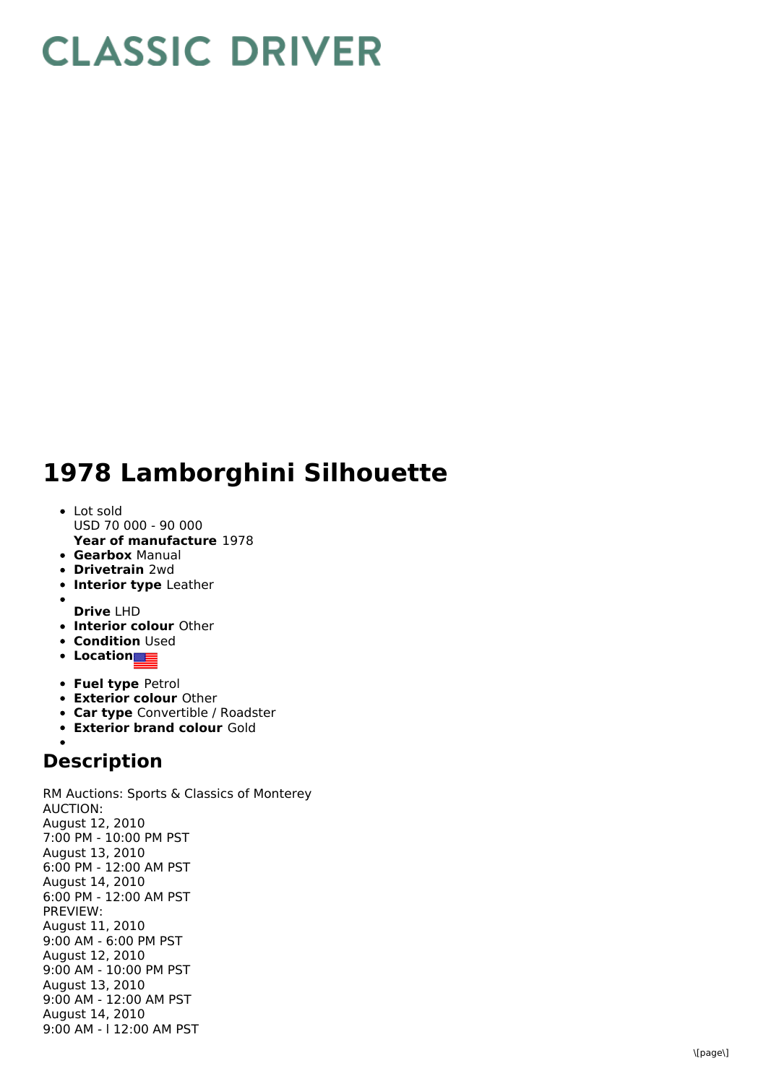## **CLASSIC DRIVER**

## 1978 Lamborghini Silhouette

- L o t s old USD 70 000 - 90 000
- **Year of manufacture** 1978
- **Gearbox** Manual
- **Drivetrain** 2wd
- **Interior type** Leather
- 
- **D r i v e** L H D **Interior colour** Other
- **Condition** Used
- **L o c a t i o n**
- **Fuel type Petrol**
- **Exterior colour Other**
- **Car type** Convertible / Roadster
- **Exterior brand colour** Gold

## **Description**

RM Auctions: Sports & Classics of Monterey A U C TIO N: August 12, 2 0 1 0 7:00 PM - 10:00 PM PST August 13, 2010 6:00 PM - 12:00 AM PST August 14, 2010 6:00 PM - 12:00 AM PST P R E VIE W: August 11, 2 0 1 0 9:00 AM - 6:00 PM PST August 12, 2010 9:00 AM - 10:00 PM PST August 13, 2010 9:00 AM - 12:00 AM PST August 14, 2010 9:00 AM - I 12:00 AM PST